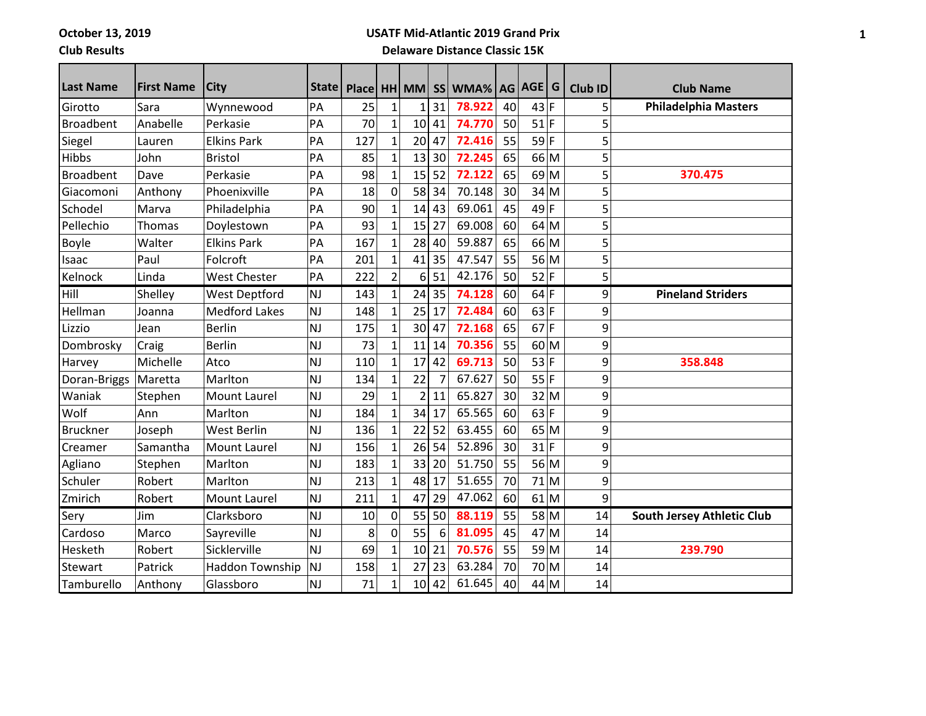**October 13, 2019**

#### **Club Results**

## **USATF Mid-Atlantic 2019 Grand Prix**

## **Delaware Distance Classic 15K**

| <b>Last Name</b> | <b>First Name</b> | <b>City</b>          |           |     |                |                 |                 | State   Place   HH   MM   SS   WMA%   AG   AGE   G |    |        | Club ID | <b>Club Name</b>            |
|------------------|-------------------|----------------------|-----------|-----|----------------|-----------------|-----------------|----------------------------------------------------|----|--------|---------|-----------------------------|
| Girotto          | Sara              | Wynnewood            | PA        | 25  | $\mathbf{1}$   | $1\vert$        | 31              | 78.922                                             | 40 | 43 F   | 5       | <b>Philadelphia Masters</b> |
| Broadbent        | Anabelle          | Perkasie             | PA        | 70  | $\mathbf{1}$   | 10              | 41              | 74.770                                             | 50 | $51$ F | 5       |                             |
| Siegel           | Lauren            | <b>Elkins Park</b>   | PA        | 127 | $\mathbf{1}$   | 20              | 47              | 72.416                                             | 55 | $59$ F | 5       |                             |
| <b>Hibbs</b>     | John              | <b>Bristol</b>       | PA        | 85  | $\mathbf{1}$   | 13              | 30              | 72.245                                             | 65 | 66 M   | 5       |                             |
| <b>Broadbent</b> | Dave              | Perkasie             | PA        | 98  | $\mathbf{1}$   | 15              | 52              | 72.122                                             | 65 | 69 M   | 5       | 370.475                     |
| Giacomoni        | Anthony           | Phoenixville         | PA        | 18  | $\mathbf 0$    | 58              | 34              | 70.148                                             | 30 | $34$ M | 5       |                             |
| Schodel          | Marva             | Philadelphia         | PA        | 90  | $\mathbf{1}$   | 14              | 43              | 69.061                                             | 45 | $49$ F | 5       |                             |
| Pellechio        | <b>Thomas</b>     | Doylestown           | PA        | 93  | $\mathbf{1}$   | 15              | 27              | 69.008                                             | 60 | $64$ M | 5       |                             |
| <b>Boyle</b>     | Walter            | <b>Elkins Park</b>   | PA        | 167 | $\mathbf{1}$   | 28              | 40              | 59.887                                             | 65 | 66 M   | 5       |                             |
| Isaac            | Paul              | Folcroft             | PA        | 201 | $\mathbf{1}$   | 41              | 35              | 47.547                                             | 55 | 56 M   | 5       |                             |
| Kelnock          | Linda             | <b>West Chester</b>  | PA        | 222 | $\overline{2}$ | 6               | 51              | 42.176                                             | 50 | $52$ F | 5       |                             |
| Hill             | Shelley           | <b>West Deptford</b> | <b>NJ</b> | 143 | $\mathbf{1}$   | 24              | 35              | 74.128                                             | 60 | $64$ F | 9       | <b>Pineland Striders</b>    |
| Hellman          | Joanna            | <b>Medford Lakes</b> | NJ        | 148 | $\mathbf{1}$   | 25              | 17              | 72.484                                             | 60 | $63$ F | 9       |                             |
| Lizzio           | Jean              | <b>Berlin</b>        | <b>NJ</b> | 175 | $\mathbf{1}$   | 30              | 47              | 72.168                                             | 65 | $67$ F | 9       |                             |
| Dombrosky        | Craig             | <b>Berlin</b>        | <b>NJ</b> | 73  | $\mathbf{1}$   | 11              | 14              | 70.356                                             | 55 | $60$ M | 9       |                             |
| Harvey           | Michelle          | Atco                 | <b>NJ</b> | 110 | $\mathbf{1}$   | 17              | 42              | 69.713                                             | 50 | $53$ F | 9       | 358.848                     |
| Doran-Briggs     | Maretta           | Marlton              | <b>NJ</b> | 134 | $\mathbf{1}$   | 22              | $\overline{7}$  | 67.627                                             | 50 | 55 F   | 9       |                             |
| Waniak           | Stephen           | <b>Mount Laurel</b>  | <b>NJ</b> | 29  | $\mathbf{1}$   | 2 <sup>1</sup>  | 11              | 65.827                                             | 30 | $32$ M | 9       |                             |
| Wolf             | Ann               | Marlton              | NJ        | 184 | 1              | 34              | 17              | 65.565                                             | 60 | $63$ F | 9       |                             |
| <b>Bruckner</b>  | Joseph            | <b>West Berlin</b>   | NJ        | 136 | $\mathbf{1}$   | 22              | 52              | 63.455                                             | 60 | 65 M   | 9       |                             |
| Creamer          | Samantha          | <b>Mount Laurel</b>  | NJ        | 156 | $\mathbf{1}$   | 26              | 54              | 52.896                                             | 30 | $31$ F | 9       |                             |
| Agliano          | Stephen           | Marlton              | <b>NJ</b> | 183 | $\mathbf{1}$   | 33              | 20              | 51.750                                             | 55 | 56 M   | 9       |                             |
| Schuler          | Robert            | Marlton              | NJ        | 213 | $\mathbf{1}$   | 48              | 17 <sub>l</sub> | 51.655                                             | 70 | $71$ M | 9       |                             |
| Zmirich          | Robert            | <b>Mount Laurel</b>  | NJ        | 211 | $\mathbf{1}$   | 47              | 29              | 47.062                                             | 60 | 61 M   | 9       |                             |
| Sery             | Jim               | Clarksboro           | NJ        | 10  | $\mathbf 0$    | 55              | 50              | 88.119                                             | 55 | 58 M   | 14      | South Jersey Athletic Club  |
| Cardoso          | Marco             | Sayreville           | <b>NJ</b> | 8   | 0              | 55              | 6               | 81.095                                             | 45 | $47$ M | 14      |                             |
| Hesketh          | Robert            | Sicklerville         | NJ        | 69  | $\mathbf{1}$   | 10              | 21              | 70.576                                             | 55 | 59 M   | 14      | 239.790                     |
| <b>Stewart</b>   | Patrick           | Haddon Township      | <b>NJ</b> | 158 | $\mathbf{1}$   | 27              | 23              | 63.284                                             | 70 | 70 M   | 14      |                             |
| Tamburello       | Anthony           | Glassboro            | NJ        | 71  | $\mathbf{1}$   | 10 <sup>1</sup> | 42              | 61.645                                             | 40 | 44 M   | 14      |                             |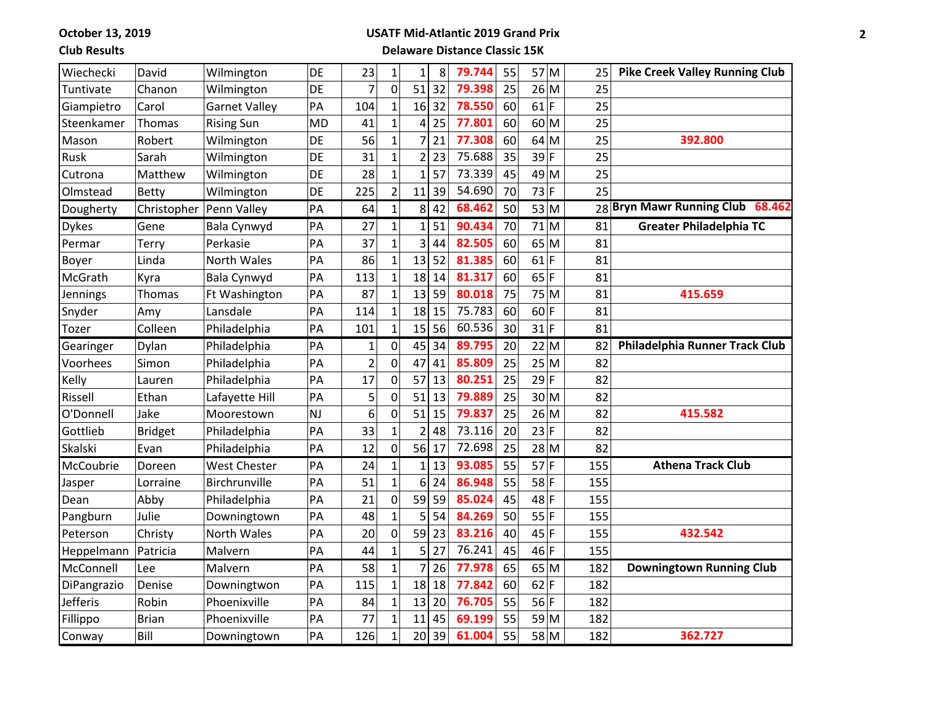**October 13, 2019**

### **Club Results**

### **USATF Mid-Atlantic 2019 Grand Prix Delaware Distance Classic 15K**

| Wiechecki       | David          | Wilmington           | DE        | 23             | $\mathbf{1}$   | $\mathbf 1$    | 8  | 79.744 | 55 | 57 M   | 25  | <b>Pike Creek Valley Running Club</b> |
|-----------------|----------------|----------------------|-----------|----------------|----------------|----------------|----|--------|----|--------|-----|---------------------------------------|
| Tuntivate       | Chanon         | Wilmington           | DE        | $\overline{7}$ | $\mathbf 0$    | 51             | 32 | 79.398 | 25 | 26 M   | 25  |                                       |
| Giampietro      | Carol          | <b>Garnet Valley</b> | PA        | 104            | $\mathbf{1}$   | 16             | 32 | 78.550 | 60 | $61$ F | 25  |                                       |
| Steenkamer      | Thomas         | <b>Rising Sun</b>    | <b>MD</b> | 41             | $\overline{1}$ | 4              | 25 | 77.801 | 60 | 60 M   | 25  |                                       |
| Mason           | Robert         | Wilmington           | DE        | 56             | $\mathbf{1}$   | $\overline{7}$ | 21 | 77.308 | 60 | 64 M   | 25  | 392.800                               |
| Rusk            | Sarah          | Wilmington           | DE        | 31             | $\mathbf{1}$   | $\overline{2}$ | 23 | 75.688 | 35 | $39$ F | 25  |                                       |
| Cutrona         | Matthew        | Wilmington           | DE        | 28             | $\mathbf{1}$   | $\mathbf{1}$   | 57 | 73.339 | 45 | 49 M   | 25  |                                       |
| Olmstead        | <b>Betty</b>   | Wilmington           | DE        | 225            | $\overline{2}$ | 11             | 39 | 54.690 | 70 | $73$ F | 25  |                                       |
| Dougherty       | Christopher    | Penn Valley          | PA        | 64             | $\mathbf{1}$   | 8 <sup>1</sup> | 42 | 68.462 | 50 | 53 M   | 28  | Bryn Mawr Running Club 68.462         |
| <b>Dykes</b>    | Gene           | Bala Cynwyd          | PA        | 27             | $\mathbf{1}$   | $\mathbf{1}$   | 51 | 90.434 | 70 | 71 M   | 81  | <b>Greater Philadelphia TC</b>        |
| Permar          | Terry          | Perkasie             | PA        | 37             | $\mathbf{1}$   | $\overline{3}$ | 44 | 82.505 | 60 | 65 M   | 81  |                                       |
| Boyer           | Linda          | North Wales          | PA        | 86             | $\mathbf{1}$   | 13             | 52 | 81.385 | 60 | $61$ F | 81  |                                       |
| McGrath         | Kyra           | Bala Cynwyd          | PA        | 113            | $\mathbf{1}$   | 18             | 14 | 81.317 | 60 | $65$ F | 81  |                                       |
| Jennings        | Thomas         | Ft Washington        | PA        | 87             | $\mathbf{1}$   | 13             | 59 | 80.018 | 75 | 75 M   | 81  | 415.659                               |
| Snyder          | Amy            | Lansdale             | PA        | 114            | $\mathbf{1}$   | 18             | 15 | 75.783 | 60 | 60 F   | 81  |                                       |
| Tozer           | Colleen        | Philadelphia         | PA        | 101            | $\mathbf{1}$   | 15             | 56 | 60.536 | 30 | $31$ F | 81  |                                       |
| Gearinger       | Dylan          | Philadelphia         | PA        | $\mathbf{1}$   | $\pmb{0}$      | 45             | 34 | 89.795 | 20 | $22$ M | 82  | Philadelphia Runner Track Club        |
| Voorhees        | Simon          | Philadelphia         | PA        | $\overline{2}$ | $\mathbf 0$    | 47             | 41 | 85.809 | 25 | $25$ M | 82  |                                       |
| Kelly           | Lauren         | Philadelphia         | PA        | 17             | $\mathbf 0$    | 57             | 13 | 80.251 | 25 | $29$ F | 82  |                                       |
| Rissell         | Ethan          | Lafayette Hill       | PA        | 5              | $\mathbf 0$    | 51             | 13 | 79.889 | 25 | $30$ M | 82  |                                       |
| O'Donnell       | Jake           | Moorestown           | <b>NJ</b> | 6              | $\mathbf 0$    | 51             | 15 | 79.837 | 25 | $26$ M | 82  | 415.582                               |
| Gottlieb        | <b>Bridget</b> | Philadelphia         | PA        | 33             | $\mathbf{1}$   | $\overline{2}$ | 48 | 73.116 | 20 | $23$ F | 82  |                                       |
| Skalski         | Evan           | Philadelphia         | PA        | 12             | $\pmb{0}$      | 56             | 17 | 72.698 | 25 | $28$ M | 82  |                                       |
| McCoubrie       | Doreen         | <b>West Chester</b>  | PA        | 24             | $\mathbf{1}$   | $1\vert$       | 13 | 93.085 | 55 | $57$ F | 155 | <b>Athena Track Club</b>              |
| Jasper          | Lorraine       | Birchrunville        | PA        | 51             | $\overline{1}$ | 6              | 24 | 86.948 | 55 | $58$ F | 155 |                                       |
| Dean            | Abby           | Philadelphia         | PA        | 21             | $\pmb{0}$      | 59             | 59 | 85.024 | 45 | $48$ F | 155 |                                       |
| Pangburn        | Julie          | Downingtown          | PA        | 48             | $\mathbf{1}$   | 5              | 54 | 84.269 | 50 | $55$ F | 155 |                                       |
| Peterson        | Christy        | North Wales          | PA        | 20             | $\pmb{0}$      | 59             | 23 | 83.216 | 40 | $45$ F | 155 | 432.542                               |
| Heppelmann      | Patricia       | Malvern              | PA        | 44             | $\mathbf{1}$   | 5              | 27 | 76.241 | 45 | $46$ F | 155 |                                       |
| McConnell       | Lee            | Malvern              | PA        | 58             | $\mathbf{1}$   | 7              | 26 | 77.978 | 65 | 65 M   | 182 | <b>Downingtown Running Club</b>       |
| DiPangrazio     | Denise         | Downingtwon          | PA        | 115            | $\mathbf{1}$   | 18             | 18 | 77.842 | 60 | $62$ F | 182 |                                       |
| <b>Jefferis</b> | Robin          | Phoenixville         | PA        | 84             | $\mathbf{1}$   | 13             | 20 | 76.705 | 55 | $56$ F | 182 |                                       |
| Fillippo        | <b>Brian</b>   | Phoenixville         | PA        | 77             | $\mathbf{1}$   | 11             | 45 | 69.199 | 55 | 59 M   | 182 |                                       |
| Conway          | Bill           | Downingtown          | PA        | 126            | $\mathbf{1}$   | 20             | 39 | 61.004 | 55 | 58 M   | 182 | 362.727                               |
|                 |                |                      |           |                |                |                |    |        |    |        |     |                                       |